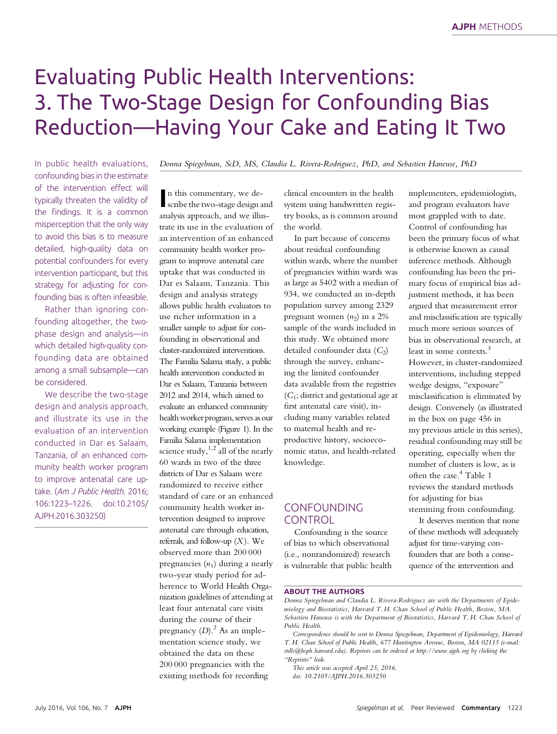# Evaluating Public Health Interventions: 3. The Two-Stage Design for Confounding Bias Reduction—Having Your Cake and Eating It Two

In public health evaluations, confounding bias in the estimate of the intervention effect will typically threaten the validity of the findings. It is a common misperception that the only way to avoid this bias is to measure detailed, high-quality data on potential confounders for every intervention participant, but this strategy for adjusting for confounding bias is often infeasible.

Rather than ignoring confounding altogether, the twophase design and analysis—in which detailed high-quality confounding data are obtained among a small subsample—can be considered.

We describe the two-stage design and analysis approach, and illustrate its use in the evaluation of an intervention conducted in Dar es Salaam, Tanzania, of an enhanced community health worker program to improve antenatal care uptake. (Am J Public Health. 2016; 106:1223–1226. doi:10.2105/ AJPH.2016.303250)

Donna Spiegelman, ScD, MS, Claudia L. Rivera-Rodriguez, PhD, and Sebastien Haneuse, PhD

n this commentary, we describe the two-stage design scribe the two-stage design and analysis approach, and we illustrate its use in the evaluation of an intervention of an enhanced community health worker program to improve antenatal care uptake that was conducted in Dar es Salaam, Tanzania. This design and analysis strategy allows public health evaluators to use richer information in a smaller sample to adjust for confounding in observational and cluster-randomized interventions. The Familia Salama study, a public health intervention conducted in Dar es Salaam, Tanzania between 2012 and 2014, which aimed to evaluate an enhanced community health worker program, serves as our working example (Figure 1). In the Familia Salama implementation science study,  $1,2$  all of the nearly 60 wards in two of the three districts of Dar es Salaam were randomized to receive either standard of care or an enhanced community health worker intervention designed to improve antenatal care through education, referrals, and follow-up  $(X)$ . We observed more than 200 000 pregnancies  $(n_1)$  during a nearly two-year study period for adherence to World Health Organization guidelines of attending at least four antenatal care visits during the course of their pregnancy  $(D)$ .<sup>2</sup> As an implementation science study, we obtained the data on these 200 000 pregnancies with the existing methods for recording

clinical encounters in the health system using handwritten registry books, as is common around the world.

In part because of concerns about residual confounding within wards, where the number of pregnancies within wards was as large as 5402 with a median of 934, we conducted an in-depth population survey among 2329 pregnant women  $(n_2)$  in a 2% sample of the wards included in this study. We obtained more detailed confounder data  $(C_2)$ through the survey, enhancing the limited confounder data available from the registries  $(C_1;$  district and gestational age at first antenatal care visit), including many variables related to maternal health and reproductive history, socioeconomic status, and health-related knowledge.

# CONFOUNDING CONTROL

Confounding is the source of bias to which observational (i.e., nonrandomized) research is vulnerable that public health

implementers, epidemiologists, and program evaluators have most grappled with to date. Control of confounding has been the primary focus of what is otherwise known as causal inference methods. Although confounding has been the primary focus of empirical bias adjustment methods, it has been argued that measurement error and misclassification are typically much more serious sources of bias in observational research, at least in some contexts.<sup>3</sup> However, in cluster-randomized interventions, including stepped wedge designs, "exposure" misclassification is eliminated by design. Conversely (as illustrated in the box on page 456 in my previous article in this series), residual confounding may still be operating, especially when the number of clusters is low, as is often the case.<sup>4</sup> Table 1 reviews the standard methods for adjusting for bias stemming from confounding.

It deserves mention that none of these methods will adequately adjust for time-varying confounders that are both a consequence of the intervention and

#### ABOUT THE AUTHORS

This article was accepted April 25, 2016. doi: 10.2105/AJPH.2016.303250

Donna Spiegelman and Claudia L. Rivera-Rodriguez are with the Departments of Epidemiology and Biostatistics, Harvard T. H. Chan School of Public Health, Boston, MA. Sebastien Haneuse is with the Department of Biostatistics, Harvard T. H. Chan School of Public Health.

Correspondence should be sent to Donna Spiegelman, Department of Epidemiology, Harvard T. H. Chan School of Public Health, 677 Huntington Avenue, Boston, MA 02115 (e-mail: [stdls@hsph.harvard.edu](mailto:stdls@hsph.harvard.edu)). Reprints can be ordered at<http://www.ajph.org> by clicking the "Reprints" link.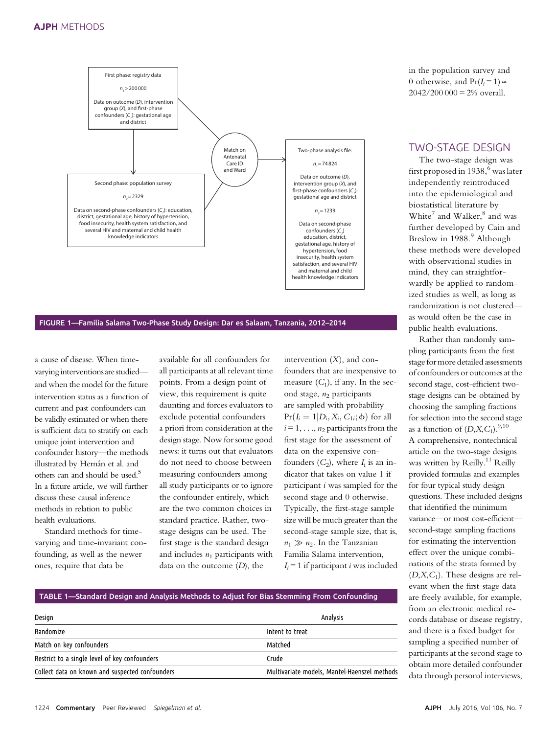

FIGURE 1—Familia Salama Two-Phase Study Design: Dar es Salaam, Tanzania, 2012–2014

a cause of disease. When timevarying interventions arestudied and when the model for the future intervention status as a function of current and past confounders can be validly estimated or when there is sufficient data to stratify on each unique joint intervention and confounder history—the methods illustrated by Hernán et al. and others can and should be used.<sup>5</sup> In a future article, we will further discuss these causal inference methods in relation to public health evaluations.

Standard methods for timevarying and time-invariant confounding, as well as the newer ones, require that data be

available for all confounders for all participants at all relevant time points. From a design point of view, this requirement is quite daunting and forces evaluators to exclude potential confounders a priori from consideration at the design stage. Now for some good news: it turns out that evaluators do not need to choose between measuring confounders among all study participants or to ignore the confounder entirely, which are the two common choices in standard practice. Rather, twostage designs can be used. The first stage is the standard design and includes  $n_1$  participants with data on the outcome  $(D)$ , the

intervention  $(X)$ , and confounders that are inexpensive to measure  $(C_1)$ , if any. In the second stage,  $n_2$  participants are sampled with probability  $Pr(I_i = 1|D_i, X_i, C_{1i}; \phi)$  for all  $i = 1, \ldots, n_2$  participants from the first stage for the assessment of data on the expensive confounders  $(C_2)$ , where  $I_i$  is an indicator that takes on value 1 if participant i was sampled for the second stage and 0 otherwise. Typically, the first-stage sample size will be much greater than the second-stage sample size, that is,  $n_1 \gg n_2$ . In the Tanzanian Familia Salama intervention,  $I_i = 1$  if participant *i* was included in the population survey and 0 otherwise, and  $Pr(I_i = 1) \approx$  $2042/200\,000 = 2\%$  overall.

# TWO-STAGE DESIGN

The two-stage design was first proposed in  $1938<sup>6</sup>$  was later independently reintroduced into the epidemiological and biostatistical literature by White<sup>7</sup> and Walker, $^8$  and was further developed by Cain and Breslow in 1988.<sup>9</sup> Although these methods were developed with observational studies in mind, they can straightforwardly be applied to randomized studies as well, as long as randomization is not clustered as would often be the case in public health evaluations.

Rather than randomly sampling participants from the first stage for more detailed assessments of confounders or outcomes at the second stage, cost-efficient twostage designs can be obtained by choosing the sampling fractions for selection into the second stage as a function of  $(D, X, C_1)$ .<sup>9,10</sup> A comprehensive, nontechnical article on the two-stage designs was written by Reilly.<sup>11</sup> Reilly provided formulas and examples for four typical study design questions. These included designs that identified the minimum variance—or most cost-efficient second-stage sampling fractions for estimating the intervention effect over the unique combinations of the strata formed by  $(D, X, C_1)$ . These designs are relevant when the first-stage data are freely available, for example, from an electronic medical records database or disease registry, and there is a fixed budget for sampling a specified number of participants at the second stage to obtain more detailed confounder data through personal interviews,

## TABLE 1—Standard Design and Analysis Methods to Adjust for Bias Stemming From Confounding

| Design                                          | Analysis                                     |  |  |
|-------------------------------------------------|----------------------------------------------|--|--|
| Randomize                                       | Intent to treat                              |  |  |
| Match on key confounders                        | Matched                                      |  |  |
| Restrict to a single level of key confounders   | Crude                                        |  |  |
| Collect data on known and suspected confounders | Multivariate models, Mantel-Haenszel methods |  |  |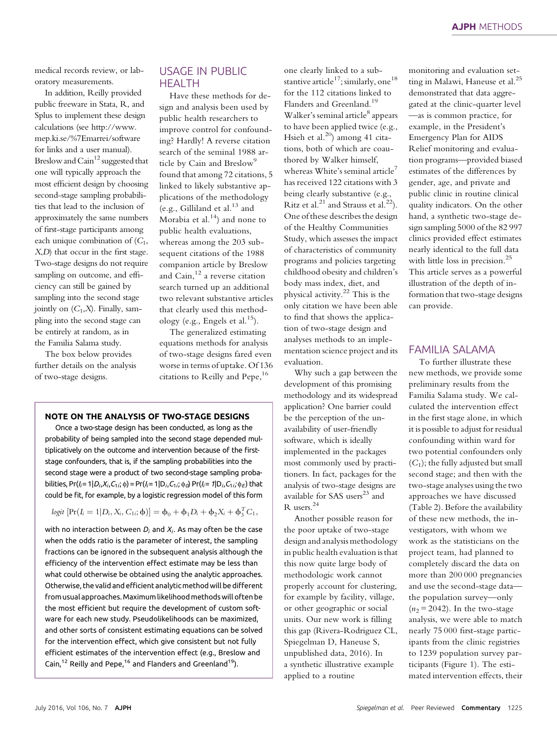medical records review, or laboratory measurements.

In addition, Reilly provided public freeware in Stata, R, and Splus to implement these design calculations (see [http://www.](http://www.mep.ki.se/%7Emarrei/software) [mep.ki.se/%7Emarrei/software](http://www.mep.ki.se/%7Emarrei/software) for links and a user manual). Breslow and  $\mathrm{Cain}^{12}$  suggested that one will typically approach the most efficient design by choosing second-stage sampling probabilities that lead to the inclusion of approximately the same numbers of first-stage participants among each unique combination of  $(C_1,$ X,D) that occur in the first stage. Two-stage designs do not require sampling on outcome, and efficiency can still be gained by sampling into the second stage jointly on  $(C_1,X)$ . Finally, sampling into the second stage can be entirely at random, as in the Familia Salama study.

The box below provides further details on the analysis of two-stage designs.

## USAGE IN PUBLIC **HFALTH**

Have these methods for design and analysis been used by public health researchers to improve control for confounding? Hardly! A reverse citation search of the seminal 1988 article by Cain and Breslow<sup>9</sup> found that among 72 citations, 5 linked to likely substantive applications of the methodology (e.g., Gilliland et al. $^{13}$  and Morabia et al. $14$ ) and none to public health evaluations, whereas among the 203 subsequent citations of the 1988 companion article by Breslow and Cain, $12$  a reverse citation search turned up an additional two relevant substantive articles that clearly used this methodology (e.g., Engels et al.<sup>15</sup>).

The generalized estimating equations methods for analysis of two-stage designs fared even worse in terms of uptake. Of 136 citations to Reilly and Pepe,<sup>16</sup>

## NOTE ON THE ANALYSIS OF TWO-STAGE DESIGNS

Once a two-stage design has been conducted, as long as the probability of being sampled into the second stage depended multiplicatively on the outcome and intervention because of the firststage confounders, that is, if the sampling probabilities into the second stage were a product of two second-stage sampling probabilities, Pr( $I_i = 1|D_i, X_i, C_{1i}$ ;  $\phi$ ) = Pr( $I_i = 1|D_i, C_{1i}$ ;  $\phi_o$ ) Pr( $I_i = 1|D_i, C_{1i}$ ;  $\phi_E$ ) that could be fit, for example, by a logistic regression model of this form

$$
logit \left[ Pr(I_i = 1 | D_i, X_i, C_{1i}; \phi) \right] = \phi_0 + \phi_1 D_i + \phi_2 X_i + \phi_3^T C_1,
$$

with no interaction between  $D_i$  and  $X_i$ . As may often be the case when the odds ratio is the parameter of interest, the sampling fractions can be ignored in the subsequent analysis although the efficiency of the intervention effect estimate may be less than what could otherwise be obtained using the analytic approaches. Otherwise, the valid and efficient analytic method will be different from usual approaches.Maximum likelihood methods will often be the most efficient but require the development of custom software for each new study. Pseudolikelihoods can be maximized, and other sorts of consistent estimating equations can be solved for the intervention effect, which give consistent but not fully efficient estimates of the intervention effect (e.g., Breslow and Cain,<sup>12</sup> Reilly and Pepe,<sup>16</sup> and Flanders and Greenland<sup>19</sup>).

one clearly linked to a substantive article<sup>17</sup>; similarly, one<sup>18</sup> for the 112 citations linked to Flanders and Greenland.<sup>19</sup> Walker's seminal article<sup>8</sup> appears to have been applied twice (e.g., Hsieh et al.<sup>20</sup>) among 41 citations, both of which are coauthored by Walker himself, whereas White's seminal article<sup>7</sup> has received 122 citations with 3 being clearly substantive (e.g., Ritz et al.<sup>21</sup> and Strauss et al.<sup>22</sup>). One of these describes the design of the Healthy Communities Study, which assesses the impact of characteristics of community programs and policies targeting childhood obesity and children's body mass index, diet, and physical activity.<sup>22</sup> This is the only citation we have been able to find that shows the application of two-stage design and analyses methods to an implementation science project and its evaluation.

Why such a gap between the development of this promising methodology and its widespread application? One barrier could be the perception of the unavailability of user-friendly software, which is ideally implemented in the packages most commonly used by practitioners. In fact, packages for the analysis of two-stage designs are available for SAS users<sup>23</sup> and R users.<sup>24</sup>

Another possible reason for the poor uptake of two-stage design and analysis methodology in public health evaluation is that this now quite large body of methodologic work cannot properly account for clustering, for example by facility, village, or other geographic or social units. Our new work is filling this gap (Rivera-Rodriguez CL, Spiegelman D, Haneuse S, unpublished data, 2016). In a synthetic illustrative example applied to a routine

monitoring and evaluation setting in Malawi, Haneuse et al.<sup>25</sup> demonstrated that data aggregated at the clinic-quarter level —as is common practice, for example, in the President's Emergency Plan for AIDS Relief monitoring and evaluation programs—provided biased estimates of the differences by gender, age, and private and public clinic in routine clinical quality indicators. On the other hand, a synthetic two-stage design sampling 5000 of the 82 997 clinics provided effect estimates nearly identical to the full data with little loss in precision.<sup>25</sup> This article serves as a powerful illustration of the depth of information that two-stage designs can provide.

## FAMILIA SALAMA

To further illustrate these new methods, we provide some preliminary results from the Familia Salama study. We calculated the intervention effect in the first stage alone, in which it is possible to adjust for residual confounding within ward for two potential confounders only  $(C_1)$ ; the fully adjusted but small second stage; and then with the two-stage analyses using the two approaches we have discussed (Table 2). Before the availability of these new methods, the investigators, with whom we work as the statisticians on the project team, had planned to completely discard the data on more than 200 000 pregnancies and use the second-stage data the population survey—only  $(n<sub>2</sub> = 2042)$ . In the two-stage analysis, we were able to match nearly 75 000 first-stage participants from the clinic registries to 1239 population survey participants (Figure 1). The estimated intervention effects, their